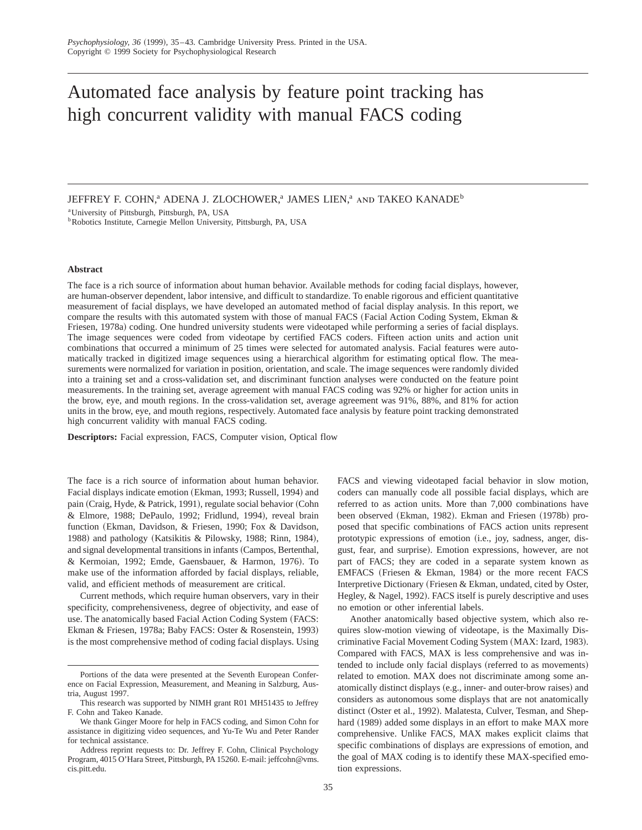# Automated face analysis by feature point tracking has high concurrent validity with manual FACS coding

JEFFREY F. COHN,<sup>a</sup> ADENA J. ZLOCHOWER,<sup>a</sup> JAMES LIEN,<sup>a</sup> and TAKEO KANADE<sup>b</sup>

aUniversity of Pittsburgh, Pittsburgh, PA, USA

bRobotics Institute, Carnegie Mellon University, Pittsburgh, PA, USA

## **Abstract**

The face is a rich source of information about human behavior. Available methods for coding facial displays, however, are human-observer dependent, labor intensive, and difficult to standardize. To enable rigorous and efficient quantitative measurement of facial displays, we have developed an automated method of facial display analysis. In this report, we compare the results with this automated system with those of manual FACS (Facial Action Coding System, Ekman  $\&$ Friesen, 1978a) coding. One hundred university students were videotaped while performing a series of facial displays. The image sequences were coded from videotape by certified FACS coders. Fifteen action units and action unit combinations that occurred a minimum of 25 times were selected for automated analysis. Facial features were automatically tracked in digitized image sequences using a hierarchical algorithm for estimating optical flow. The measurements were normalized for variation in position, orientation, and scale. The image sequences were randomly divided into a training set and a cross-validation set, and discriminant function analyses were conducted on the feature point measurements. In the training set, average agreement with manual FACS coding was 92% or higher for action units in the brow, eye, and mouth regions. In the cross-validation set, average agreement was 91%, 88%, and 81% for action units in the brow, eye, and mouth regions, respectively. Automated face analysis by feature point tracking demonstrated high concurrent validity with manual FACS coding.

**Descriptors:** Facial expression, FACS, Computer vision, Optical flow

The face is a rich source of information about human behavior. Facial displays indicate emotion (Ekman, 1993; Russell, 1994) and pain (Craig, Hyde, & Patrick, 1991), regulate social behavior (Cohn & Elmore, 1988; DePaulo, 1992; Fridlund, 1994), reveal brain function (Ekman, Davidson, & Friesen, 1990; Fox & Davidson, 1988) and pathology (Katsikitis & Pilowsky, 1988; Rinn, 1984), and signal developmental transitions in infants (Campos, Bertenthal, & Kermoian, 1992; Emde, Gaensbauer, & Harmon, 1976!. To make use of the information afforded by facial displays, reliable, valid, and efficient methods of measurement are critical.

Current methods, which require human observers, vary in their specificity, comprehensiveness, degree of objectivity, and ease of use. The anatomically based Facial Action Coding System (FACS: Ekman & Friesen, 1978a; Baby FACS: Oster & Rosenstein, 1993) is the most comprehensive method of coding facial displays. Using

FACS and viewing videotaped facial behavior in slow motion, coders can manually code all possible facial displays, which are referred to as action units. More than 7,000 combinations have been observed (Ekman, 1982). Ekman and Friesen (1978b) proposed that specific combinations of FACS action units represent prototypic expressions of emotion (i.e., joy, sadness, anger, disgust, fear, and surprise). Emotion expressions, however, are not part of FACS; they are coded in a separate system known as  $EMFACS$  (Friesen & Ekman, 1984) or the more recent FACS Interpretive Dictionary (Friesen & Ekman, undated, cited by Oster, Hegley, & Nagel, 1992). FACS itself is purely descriptive and uses no emotion or other inferential labels.

Another anatomically based objective system, which also requires slow-motion viewing of videotape, is the Maximally Discriminative Facial Movement Coding System (MAX: Izard, 1983). Compared with FACS, MAX is less comprehensive and was intended to include only facial displays (referred to as movements) related to emotion. MAX does not discriminate among some anatomically distinct displays (e.g., inner- and outer-brow raises) and considers as autonomous some displays that are not anatomically distinct (Oster et al., 1992). Malatesta, Culver, Tesman, and Shephard (1989) added some displays in an effort to make MAX more comprehensive. Unlike FACS, MAX makes explicit claims that specific combinations of displays are expressions of emotion, and the goal of MAX coding is to identify these MAX-specified emotion expressions.

Portions of the data were presented at the Seventh European Conference on Facial Expression, Measurement, and Meaning in Salzburg, Austria, August 1997.

This research was supported by NIMH grant R01 MH51435 to Jeffrey F. Cohn and Takeo Kanade.

We thank Ginger Moore for help in FACS coding, and Simon Cohn for assistance in digitizing video sequences, and Yu-Te Wu and Peter Rander for technical assistance.

Address reprint requests to: Dr. Jeffrey F. Cohn, Clinical Psychology Program, 4015 O'Hara Street, Pittsburgh, PA 15260. E-mail: jeffcohn@vms. cis.pitt.edu.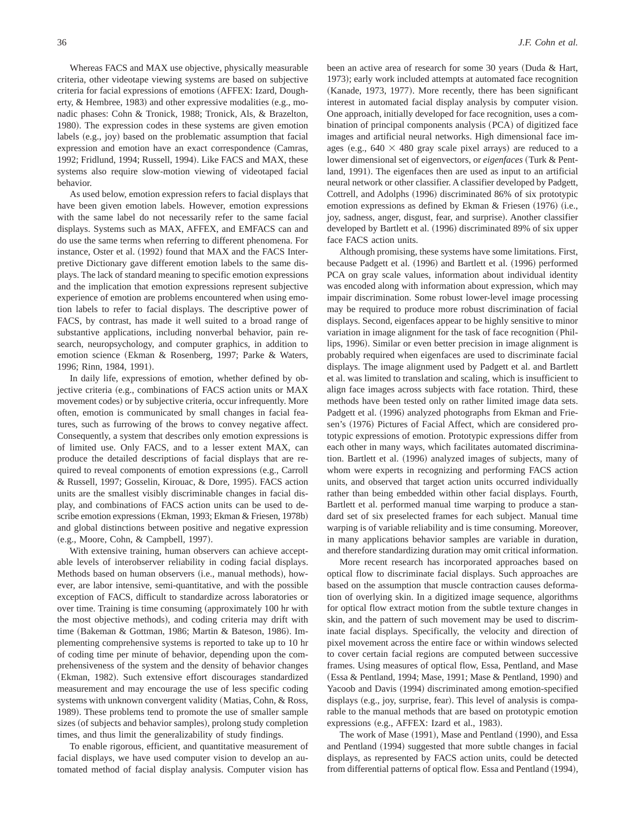Whereas FACS and MAX use objective, physically measurable criteria, other videotape viewing systems are based on subjective criteria for facial expressions of emotions (AFFEX: Izard, Dougherty,  $&$  Hembree, 1983) and other expressive modalities (e.g., monadic phases: Cohn & Tronick, 1988; Tronick, Als, & Brazelton, 1980). The expression codes in these systems are given emotion labels (e.g., joy) based on the problematic assumption that facial expression and emotion have an exact correspondence (Camras, 1992; Fridlund, 1994; Russell, 1994). Like FACS and MAX, these systems also require slow-motion viewing of videotaped facial behavior.

As used below, emotion expression refers to facial displays that have been given emotion labels. However, emotion expressions with the same label do not necessarily refer to the same facial displays. Systems such as MAX, AFFEX, and EMFACS can and do use the same terms when referring to different phenomena. For instance, Oster et al. (1992) found that MAX and the FACS Interpretive Dictionary gave different emotion labels to the same displays. The lack of standard meaning to specific emotion expressions and the implication that emotion expressions represent subjective experience of emotion are problems encountered when using emotion labels to refer to facial displays. The descriptive power of FACS, by contrast, has made it well suited to a broad range of substantive applications, including nonverbal behavior, pain research, neuropsychology, and computer graphics, in addition to emotion science (Ekman & Rosenberg, 1997; Parke & Waters, 1996; Rinn, 1984, 1991).

In daily life, expressions of emotion, whether defined by objective criteria (e.g., combinations of FACS action units or MAX movement codes) or by subjective criteria, occur infrequently. More often, emotion is communicated by small changes in facial features, such as furrowing of the brows to convey negative affect. Consequently, a system that describes only emotion expressions is of limited use. Only FACS, and to a lesser extent MAX, can produce the detailed descriptions of facial displays that are required to reveal components of emotion expressions (e.g., Carroll & Russell, 1997; Gosselin, Kirouac, & Dore, 1995). FACS action units are the smallest visibly discriminable changes in facial display, and combinations of FACS action units can be used to describe emotion expressions (Ekman, 1993; Ekman & Friesen, 1978b) and global distinctions between positive and negative expression  $(e.g., Moore, Cohn, & Campbell, 1997).$ 

With extensive training, human observers can achieve acceptable levels of interobserver reliability in coding facial displays. Methods based on human observers (i.e., manual methods), however, are labor intensive, semi-quantitative, and with the possible exception of FACS, difficult to standardize across laboratories or over time. Training is time consuming (approximately 100 hr with the most objective methods), and coding criteria may drift with time (Bakeman & Gottman, 1986; Martin & Bateson, 1986). Implementing comprehensive systems is reported to take up to 10 hr of coding time per minute of behavior, depending upon the comprehensiveness of the system and the density of behavior changes (Ekman, 1982). Such extensive effort discourages standardized measurement and may encourage the use of less specific coding systems with unknown convergent validity (Matias, Cohn, & Ross, 1989). These problems tend to promote the use of smaller sample sizes (of subjects and behavior samples), prolong study completion times, and thus limit the generalizability of study findings.

To enable rigorous, efficient, and quantitative measurement of facial displays, we have used computer vision to develop an automated method of facial display analysis. Computer vision has

been an active area of research for some 30 years (Duda & Hart, 1973); early work included attempts at automated face recognition (Kanade, 1973, 1977). More recently, there has been significant interest in automated facial display analysis by computer vision. One approach, initially developed for face recognition, uses a combination of principal components analysis (PCA) of digitized face images and artificial neural networks. High dimensional face images (e.g.,  $640 \times 480$  gray scale pixel arrays) are reduced to a lower dimensional set of eigenvectors, or *eigenfaces* (Turk & Pentland, 1991). The eigenfaces then are used as input to an artificial neural network or other classifier. A classifier developed by Padgett, Cottrell, and Adolphs (1996) discriminated 86% of six prototypic emotion expressions as defined by Ekman & Friesen  $(1976)$  (i.e., joy, sadness, anger, disgust, fear, and surprise). Another classifier developed by Bartlett et al. (1996) discriminated 89% of six upper face FACS action units.

Although promising, these systems have some limitations. First, because Padgett et al. (1996) and Bartlett et al. (1996) performed PCA on gray scale values, information about individual identity was encoded along with information about expression, which may impair discrimination. Some robust lower-level image processing may be required to produce more robust discrimination of facial displays. Second, eigenfaces appear to be highly sensitive to minor variation in image alignment for the task of face recognition (Phillips, 1996). Similar or even better precision in image alignment is probably required when eigenfaces are used to discriminate facial displays. The image alignment used by Padgett et al. and Bartlett et al. was limited to translation and scaling, which is insufficient to align face images across subjects with face rotation. Third, these methods have been tested only on rather limited image data sets. Padgett et al. (1996) analyzed photographs from Ekman and Friesen's (1976) Pictures of Facial Affect, which are considered prototypic expressions of emotion. Prototypic expressions differ from each other in many ways, which facilitates automated discrimination. Bartlett et al. (1996) analyzed images of subjects, many of whom were experts in recognizing and performing FACS action units, and observed that target action units occurred individually rather than being embedded within other facial displays. Fourth, Bartlett et al. performed manual time warping to produce a standard set of six preselected frames for each subject. Manual time warping is of variable reliability and is time consuming. Moreover, in many applications behavior samples are variable in duration, and therefore standardizing duration may omit critical information.

More recent research has incorporated approaches based on optical flow to discriminate facial displays. Such approaches are based on the assumption that muscle contraction causes deformation of overlying skin. In a digitized image sequence, algorithms for optical flow extract motion from the subtle texture changes in skin, and the pattern of such movement may be used to discriminate facial displays. Specifically, the velocity and direction of pixel movement across the entire face or within windows selected to cover certain facial regions are computed between successive frames. Using measures of optical flow, Essa, Pentland, and Mase (Essa & Pentland, 1994; Mase, 1991; Mase & Pentland, 1990) and Yacoob and Davis (1994) discriminated among emotion-specified displays (e.g., joy, surprise, fear). This level of analysis is comparable to the manual methods that are based on prototypic emotion expressions (e.g., AFFEX: Izard et al., 1983).

The work of Mase (1991), Mase and Pentland (1990), and Essa and Pentland (1994) suggested that more subtle changes in facial displays, as represented by FACS action units, could be detected from differential patterns of optical flow. Essa and Pentland (1994),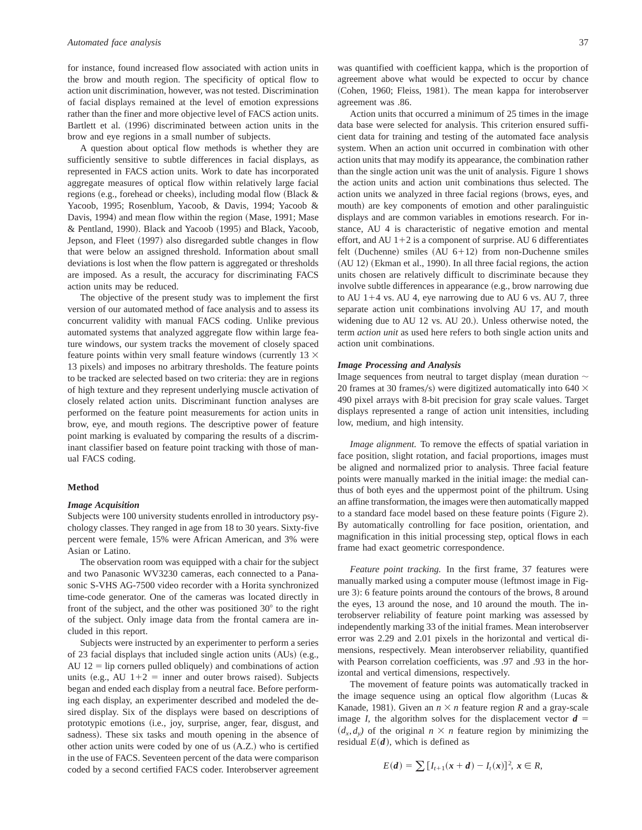for instance, found increased flow associated with action units in the brow and mouth region. The specificity of optical flow to action unit discrimination, however, was not tested. Discrimination of facial displays remained at the level of emotion expressions rather than the finer and more objective level of FACS action units. Bartlett et al. (1996) discriminated between action units in the brow and eye regions in a small number of subjects.

A question about optical flow methods is whether they are sufficiently sensitive to subtle differences in facial displays, as represented in FACS action units. Work to date has incorporated aggregate measures of optical flow within relatively large facial regions (e.g., forehead or cheeks), including modal flow (Black & Yacoob, 1995; Rosenblum, Yacoob, & Davis, 1994; Yacoob & Davis, 1994) and mean flow within the region (Mase, 1991; Mase & Pentland, 1990). Black and Yacoob (1995) and Black, Yacoob, Jepson, and Fleet (1997) also disregarded subtle changes in flow that were below an assigned threshold. Information about small deviations is lost when the flow pattern is aggregated or thresholds are imposed. As a result, the accuracy for discriminating FACS action units may be reduced.

The objective of the present study was to implement the first version of our automated method of face analysis and to assess its concurrent validity with manual FACS coding. Unlike previous automated systems that analyzed aggregate flow within large feature windows, our system tracks the movement of closely spaced feature points within very small feature windows (currently 13  $\times$ 13 pixels) and imposes no arbitrary thresholds. The feature points to be tracked are selected based on two criteria: they are in regions of high texture and they represent underlying muscle activation of closely related action units. Discriminant function analyses are performed on the feature point measurements for action units in brow, eye, and mouth regions. The descriptive power of feature point marking is evaluated by comparing the results of a discriminant classifier based on feature point tracking with those of manual FACS coding.

#### **Method**

## *Image Acquisition*

Subjects were 100 university students enrolled in introductory psychology classes. They ranged in age from 18 to 30 years. Sixty-five percent were female, 15% were African American, and 3% were Asian or Latino.

The observation room was equipped with a chair for the subject and two Panasonic WV3230 cameras, each connected to a Panasonic S-VHS AG-7500 video recorder with a Horita synchronized time-code generator. One of the cameras was located directly in front of the subject, and the other was positioned  $30^{\circ}$  to the right of the subject. Only image data from the frontal camera are included in this report.

Subjects were instructed by an experimenter to perform a series of 23 facial displays that included single action units  $(AUs)$  (e.g., AU  $12$  = lip corners pulled obliquely) and combinations of action units (e.g., AU  $1+2$  = inner and outer brows raised). Subjects began and ended each display from a neutral face. Before performing each display, an experimenter described and modeled the desired display. Six of the displays were based on descriptions of prototypic emotions (i.e., joy, surprise, anger, fear, disgust, and sadness). These six tasks and mouth opening in the absence of other action units were coded by one of us  $(A.Z.)$  who is certified in the use of FACS. Seventeen percent of the data were comparison coded by a second certified FACS coder. Interobserver agreement

was quantified with coefficient kappa, which is the proportion of agreement above what would be expected to occur by chance (Cohen, 1960; Fleiss, 1981). The mean kappa for interobserver agreement was .86.

Action units that occurred a minimum of 25 times in the image data base were selected for analysis. This criterion ensured sufficient data for training and testing of the automated face analysis system. When an action unit occurred in combination with other action units that may modify its appearance, the combination rather than the single action unit was the unit of analysis. Figure 1 shows the action units and action unit combinations thus selected. The action units we analyzed in three facial regions (brows, eyes, and mouth) are key components of emotion and other paralinguistic displays and are common variables in emotions research. For instance, AU 4 is characteristic of negative emotion and mental effort, and AU  $1+2$  is a component of surprise. AU 6 differentiates felt (Duchenne) smiles  $(AU_6+12)$  from non-Duchenne smiles (AU 12) (Ekman et al., 1990). In all three facial regions, the action units chosen are relatively difficult to discriminate because they involve subtle differences in appearance (e.g., brow narrowing due to AU  $1+4$  vs. AU 4, eye narrowing due to AU 6 vs. AU 7, three separate action unit combinations involving AU 17, and mouth widening due to AU 12 vs. AU 20.). Unless otherwise noted, the term *action unit* as used here refers to both single action units and action unit combinations.

## *Image Processing and Analysis*

Image sequences from neutral to target display (mean duration  $\sim$ 20 frames at 30 frames/s) were digitized automatically into 640  $\times$ 490 pixel arrays with 8-bit precision for gray scale values. Target displays represented a range of action unit intensities, including low, medium, and high intensity.

*Image alignment.* To remove the effects of spatial variation in face position, slight rotation, and facial proportions, images must be aligned and normalized prior to analysis. Three facial feature points were manually marked in the initial image: the medial canthus of both eyes and the uppermost point of the philtrum. Using an affine transformation, the images were then automatically mapped to a standard face model based on these feature points (Figure 2). By automatically controlling for face position, orientation, and magnification in this initial processing step, optical flows in each frame had exact geometric correspondence.

*Feature point tracking.* In the first frame, 37 features were manually marked using a computer mouse (leftmost image in Figure 3): 6 feature points around the contours of the brows, 8 around the eyes, 13 around the nose, and 10 around the mouth. The interobserver reliability of feature point marking was assessed by independently marking 33 of the initial frames. Mean interobserver error was 2.29 and 2.01 pixels in the horizontal and vertical dimensions, respectively. Mean interobserver reliability, quantified with Pearson correlation coefficients, was .97 and .93 in the horizontal and vertical dimensions, respectively.

The movement of feature points was automatically tracked in the image sequence using an optical flow algorithm (Lucas  $\&$ Kanade, 1981). Given an  $n \times n$  feature region *R* and a gray-scale image *I*, the algorithm solves for the displacement vector  $d =$  $(d_x, d_y)$  of the original  $n \times n$  feature region by minimizing the residual  $E(d)$ , which is defined as

$$
E(d) = \sum [I_{t+1}(x+d) - I_t(x)]^2, x \in R,
$$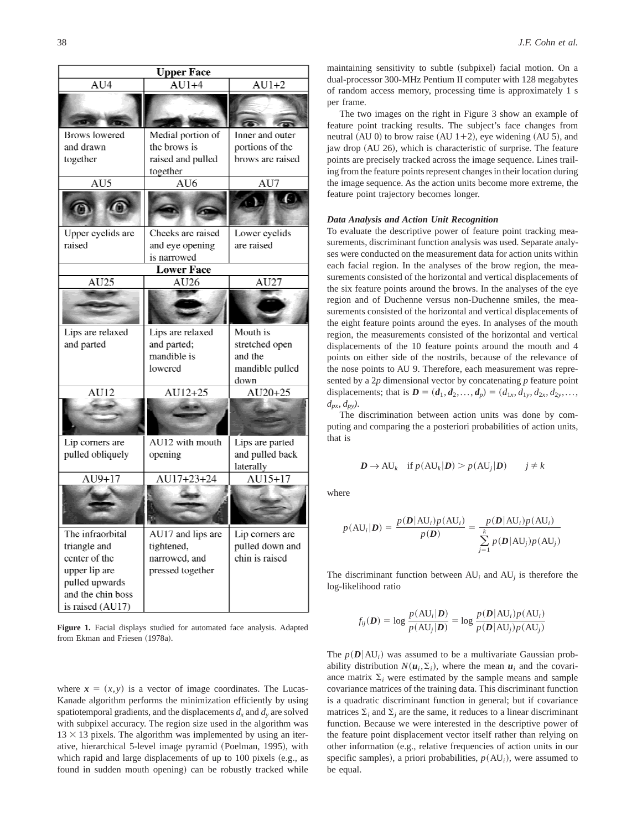| <b>Upper Face</b>                                                                |                         |                              |  |  |  |  |  |  |  |
|----------------------------------------------------------------------------------|-------------------------|------------------------------|--|--|--|--|--|--|--|
| AU4                                                                              | $AU\overline{1+4}$      | $AU1+2$                      |  |  |  |  |  |  |  |
|                                                                                  |                         | $T = 3$                      |  |  |  |  |  |  |  |
| <b>Brows</b> lowered                                                             | Medial portion of       | Inner and outer              |  |  |  |  |  |  |  |
| and drawn                                                                        | the brows is            | portions of the              |  |  |  |  |  |  |  |
| together                                                                         | raised and pulled       | brows are raised             |  |  |  |  |  |  |  |
|                                                                                  | together                |                              |  |  |  |  |  |  |  |
| AU5                                                                              | $\overline{\text{AU6}}$ | AU7                          |  |  |  |  |  |  |  |
|                                                                                  |                         | $\Omega$                     |  |  |  |  |  |  |  |
| Upper eyelids are                                                                | Cheeks are raised       | Lower eyelids                |  |  |  |  |  |  |  |
| raised                                                                           | and eye opening         | are raised                   |  |  |  |  |  |  |  |
|                                                                                  | is narrowed             |                              |  |  |  |  |  |  |  |
|                                                                                  | <b>Lower Face</b>       |                              |  |  |  |  |  |  |  |
| AU25                                                                             | AU26                    | AU27                         |  |  |  |  |  |  |  |
|                                                                                  |                         |                              |  |  |  |  |  |  |  |
| Lips are relaxed                                                                 | Lips are relaxed        | Mouth is                     |  |  |  |  |  |  |  |
| and parted                                                                       | and parted;             | stretched open               |  |  |  |  |  |  |  |
|                                                                                  | mandible is             | and the                      |  |  |  |  |  |  |  |
|                                                                                  | lowered                 | mandible pulled              |  |  |  |  |  |  |  |
| $\overline{AU12}$                                                                | $\overline{AU12+25}$    | down<br>$AU20+25$            |  |  |  |  |  |  |  |
|                                                                                  |                         |                              |  |  |  |  |  |  |  |
|                                                                                  |                         |                              |  |  |  |  |  |  |  |
| Lip corners are                                                                  | AU12 with mouth         | Lips are parted              |  |  |  |  |  |  |  |
| pulled obliquely                                                                 | opening                 | and pulled back<br>laterally |  |  |  |  |  |  |  |
| $AU9+17$                                                                         | AU17+23+24              | AU15+17                      |  |  |  |  |  |  |  |
|                                                                                  |                         |                              |  |  |  |  |  |  |  |
| The infraorbital                                                                 | AU17 and lips are       | Lip corners are              |  |  |  |  |  |  |  |
| triangle and                                                                     | tightened,              | pulled down and              |  |  |  |  |  |  |  |
| center of the                                                                    | narrowed, and           | chin is raised               |  |  |  |  |  |  |  |
| upper lip are                                                                    | pressed together        |                              |  |  |  |  |  |  |  |
| pulled upwards                                                                   |                         |                              |  |  |  |  |  |  |  |
| and the chin boss                                                                |                         |                              |  |  |  |  |  |  |  |
| $\mathcal{L}_{\mathcal{A}}$ and $\mathcal{A}$ and $\mathcal{A}$ is fixed in Fig. |                         |                              |  |  |  |  |  |  |  |

**Figure 1.** Facial displays studied for automated face analysis. Adapted from Ekman and Friesen (1978a).

where  $x = (x, y)$  is a vector of image coordinates. The Lucas-Kanade algorithm performs the minimization efficiently by using spatiotemporal gradients, and the displacements  $d_x$  and  $d_y$  are solved with subpixel accuracy. The region size used in the algorithm was  $13 \times 13$  pixels. The algorithm was implemented by using an iterative, hierarchical 5-level image pyramid (Poelman, 1995), with which rapid and large displacements of up to  $100$  pixels  $(e.g.,$  as found in sudden mouth opening) can be robustly tracked while maintaining sensitivity to subtle (subpixel) facial motion. On a dual-processor 300-MHz Pentium II computer with 128 megabytes of random access memory, processing time is approximately 1 s per frame.

The two images on the right in Figure 3 show an example of feature point tracking results. The subject's face changes from neutral  $(AU 0)$  to brow raise  $(AU 1+2)$ , eye widening  $(AU 5)$ , and jaw drop (AU 26), which is characteristic of surprise. The feature points are precisely tracked across the image sequence. Lines trailing from the feature points represent changes in their location during the image sequence. As the action units become more extreme, the feature point trajectory becomes longer.

## *Data Analysis and Action Unit Recognition*

To evaluate the descriptive power of feature point tracking measurements, discriminant function analysis was used. Separate analyses were conducted on the measurement data for action units within each facial region. In the analyses of the brow region, the measurements consisted of the horizontal and vertical displacements of the six feature points around the brows. In the analyses of the eye region and of Duchenne versus non-Duchenne smiles, the measurements consisted of the horizontal and vertical displacements of the eight feature points around the eyes. In analyses of the mouth region, the measurements consisted of the horizontal and vertical displacements of the 10 feature points around the mouth and 4 points on either side of the nostrils, because of the relevance of the nose points to AU 9. Therefore, each measurement was represented by a 2*p* dimensional vector by concatenating *p* feature point displacements; that is  $D = (d_1, d_2, ..., d_p) = (d_{1x}, d_{1y}, d_{2x}, d_{2y},...$ *dpx*, *dpy)*.

The discrimination between action units was done by computing and comparing the a posteriori probabilities of action units, that is

$$
D \to \text{AU}_k \quad \text{if } p(\text{AU}_k|D) > p(\text{AU}_j|D) \qquad j \neq k
$$

where

$$
p(\text{AU}_i|\mathbf{D}) = \frac{p(\mathbf{D}|\text{AU}_i)p(\text{AU}_i)}{p(\mathbf{D})} = \frac{p(\mathbf{D}|\text{AU}_i)p(\text{AU}_i)}{\sum_{j=1}^k p(\mathbf{D}|\text{AU}_j)p(\text{AU}_j)}
$$

The discriminant function between  $AU_i$  and  $AU_j$  is therefore the log-likelihood ratio

$$
f_{ij}(\boldsymbol{D}) = \log \frac{p(\text{AU}_i|\boldsymbol{D})}{p(\text{AU}_j|\boldsymbol{D})} = \log \frac{p(\boldsymbol{D}|\text{AU}_i)p(\text{AU}_i)}{p(\boldsymbol{D}|\text{AU}_j)p(\text{AU}_j)}
$$

The  $p(D|AU_i)$  was assumed to be a multivariate Gaussian probability distribution  $N(u_i, \Sigma_i)$ , where the mean  $u_i$  and the covariance matrix  $\Sigma_i$  were estimated by the sample means and sample covariance matrices of the training data. This discriminant function is a quadratic discriminant function in general; but if covariance matrices  $\Sigma_i$  and  $\Sigma_j$  are the same, it reduces to a linear discriminant function. Because we were interested in the descriptive power of the feature point displacement vector itself rather than relying on other information (e.g., relative frequencies of action units in our specific samples), a priori probabilities,  $p(AU_i)$ , were assumed to be equal.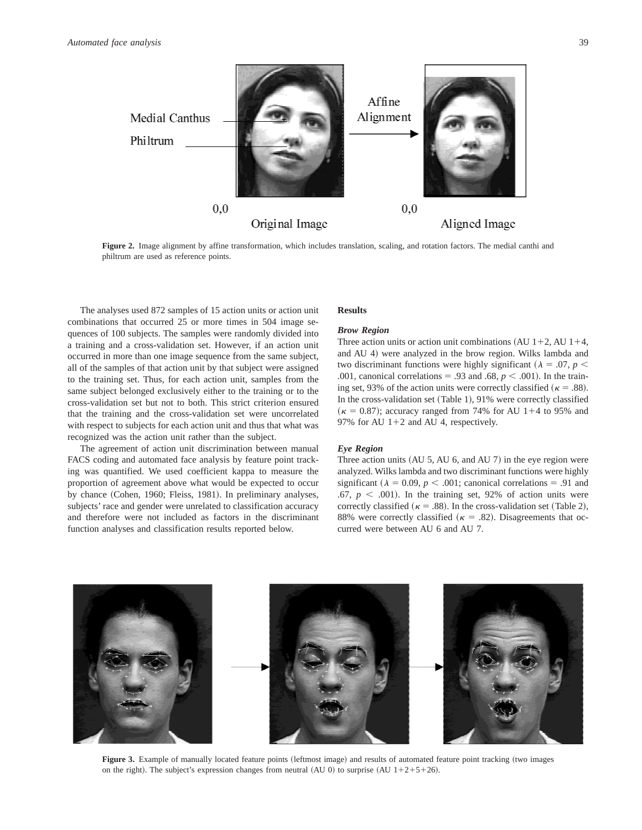

**Figure 2.** Image alignment by affine transformation, which includes translation, scaling, and rotation factors. The medial canthi and philtrum are used as reference points.

The analyses used 872 samples of 15 action units or action unit combinations that occurred 25 or more times in 504 image sequences of 100 subjects. The samples were randomly divided into a training and a cross-validation set. However, if an action unit occurred in more than one image sequence from the same subject, all of the samples of that action unit by that subject were assigned to the training set. Thus, for each action unit, samples from the same subject belonged exclusively either to the training or to the cross-validation set but not to both. This strict criterion ensured that the training and the cross-validation set were uncorrelated with respect to subjects for each action unit and thus that what was recognized was the action unit rather than the subject.

The agreement of action unit discrimination between manual FACS coding and automated face analysis by feature point tracking was quantified. We used coefficient kappa to measure the proportion of agreement above what would be expected to occur by chance (Cohen, 1960; Fleiss, 1981). In preliminary analyses, subjects' race and gender were unrelated to classification accuracy and therefore were not included as factors in the discriminant function analyses and classification results reported below.

## **Results**

## *Brow Region*

Three action units or action unit combinations  $(AU 1+2, AU 1+4,$ and AU 4) were analyzed in the brow region. Wilks lambda and two discriminant functions were highly significant ( $\lambda = .07$ ,  $p <$ .001, canonical correlations = .93 and .68,  $p < .001$ ). In the training set, 93% of the action units were correctly classified ( $\kappa = .88$ ). In the cross-validation set (Table 1),  $91\%$  were correctly classified  $(\kappa = 0.87)$ ; accuracy ranged from 74% for AU 1+4 to 95% and 97% for AU  $1+2$  and AU 4, respectively.

## *Eye Region*

Three action units  $(AU 5, AU 6, and AU 7)$  in the eye region were analyzed. Wilks lambda and two discriminant functions were highly significant ( $\lambda = 0.09$ ,  $p < .001$ ; canonical correlations = .91 and .67,  $p \leq .001$ ). In the training set, 92% of action units were correctly classified ( $\kappa = .88$ ). In the cross-validation set (Table 2), 88% were correctly classified ( $\kappa = .82$ ). Disagreements that occurred were between AU 6 and AU 7.



Figure 3. Example of manually located feature points (leftmost image) and results of automated feature point tracking (two images on the right). The subject's expression changes from neutral (AU 0) to surprise (AU  $1+2+5+26$ ).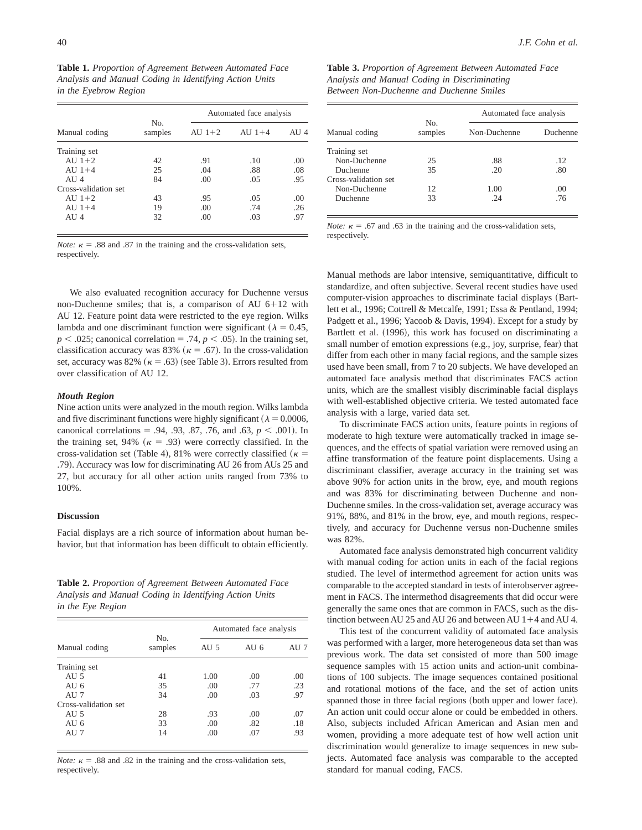**Table 1.** *Proportion of Agreement Between Automated Face Analysis and Manual Coding in Identifying Action Units in the Eyebrow Region*

|                      |                | Automated face analysis |          |      |  |  |  |
|----------------------|----------------|-------------------------|----------|------|--|--|--|
| Manual coding        | No.<br>samples | AU $1+2$                | AU $1+4$ | AU 4 |  |  |  |
| Training set         |                |                         |          |      |  |  |  |
| AU $1+2$             | 42             | .91                     | .10      | .00  |  |  |  |
| AU $1+4$             | 25             | .04                     | .88      | .08  |  |  |  |
| AIJ4                 | 84             | .00                     | .05      | .95  |  |  |  |
| Cross-validation set |                |                         |          |      |  |  |  |
| AU $1+2$             | 43             | .95                     | .05      | .00  |  |  |  |
| AU $1+4$             | 19             | .00                     | .74      | .26  |  |  |  |
| AIJ4                 | 32             | .00                     | .03      | .97  |  |  |  |
|                      |                |                         |          |      |  |  |  |

*Note:*  $\kappa$  = .88 and .87 in the training and the cross-validation sets, respectively.

We also evaluated recognition accuracy for Duchenne versus non-Duchenne smiles; that is, a comparison of AU  $6+12$  with AU 12. Feature point data were restricted to the eye region. Wilks lambda and one discriminant function were significant ( $\lambda = 0.45$ ,  $p < .025$ ; canonical correlation = .74,  $p < .05$ ). In the training set, classification accuracy was 83% ( $\kappa = .67$ ). In the cross-validation set, accuracy was 82%  $(\kappa = .63)$  (see Table 3). Errors resulted from over classification of AU 12.

## *Mouth Region*

Nine action units were analyzed in the mouth region. Wilks lambda and five discriminant functions were highly significant ( $\lambda = 0.0006$ , canonical correlations = .94, .93, .87, .76, and .63,  $p < .001$ ). In the training set, 94% ( $\kappa$  = .93) were correctly classified. In the cross-validation set (Table 4), 81% were correctly classified ( $\kappa$  = .79). Accuracy was low for discriminating AU 26 from AUs 25 and 27, but accuracy for all other action units ranged from 73% to 100%.

## **Discussion**

Facial displays are a rich source of information about human behavior, but that information has been difficult to obtain efficiently.

**Table 2.** *Proportion of Agreement Between Automated Face Analysis and Manual Coding in Identifying Action Units in the Eye Region*

|                      |                           |      | Automated face analysis |      |  |  |  |
|----------------------|---------------------------|------|-------------------------|------|--|--|--|
| Manual coding        | N <sub>0</sub><br>samples | AU 5 | AU 6                    | AU 7 |  |  |  |
| Training set         |                           |      |                         |      |  |  |  |
| AU 5                 | 41                        | 1.00 | .00                     | .00  |  |  |  |
| AU 6                 | 35                        | .00  | .77                     | .23  |  |  |  |
| AU 7                 | 34                        | .00  | .03                     | .97  |  |  |  |
| Cross-validation set |                           |      |                         |      |  |  |  |
| AU $5$               | 28                        | .93  | .00                     | .07  |  |  |  |
| AU 6                 | 33                        | .00  | .82                     | .18  |  |  |  |
| AU 7                 | 14                        | .00  | .07                     | .93  |  |  |  |

*Note:*  $\kappa$  = .88 and .82 in the training and the cross-validation sets, respectively.

**Table 3.** *Proportion of Agreement Between Automated Face Analysis and Manual Coding in Discriminating Between Non-Duchenne and Duchenne Smiles*

|                      |                | Automated face analysis |          |  |  |  |
|----------------------|----------------|-------------------------|----------|--|--|--|
| Manual coding        | No.<br>samples | Non-Duchenne            | Duchenne |  |  |  |
| Training set         |                |                         |          |  |  |  |
| Non-Duchenne         | 25             | .88                     | .12      |  |  |  |
| Duchenne             | 35             | .20                     | .80      |  |  |  |
| Cross-validation set |                |                         |          |  |  |  |
| Non-Duchenne         | 12             | 1.00                    | .00      |  |  |  |
| Duchenne             | 33             | -24                     | .76      |  |  |  |

*Note:*  $\kappa$  = .67 and .63 in the training and the cross-validation sets, respectively.

Manual methods are labor intensive, semiquantitative, difficult to standardize, and often subjective. Several recent studies have used computer-vision approaches to discriminate facial displays (Bartlett et al., 1996; Cottrell & Metcalfe, 1991; Essa & Pentland, 1994; Padgett et al., 1996; Yacoob & Davis, 1994). Except for a study by Bartlett et al. (1996), this work has focused on discriminating a small number of emotion expressions (e.g., joy, surprise, fear) that differ from each other in many facial regions, and the sample sizes used have been small, from 7 to 20 subjects. We have developed an automated face analysis method that discriminates FACS action units, which are the smallest visibly discriminable facial displays with well-established objective criteria. We tested automated face analysis with a large, varied data set.

To discriminate FACS action units, feature points in regions of moderate to high texture were automatically tracked in image sequences, and the effects of spatial variation were removed using an affine transformation of the feature point displacements. Using a discriminant classifier, average accuracy in the training set was above 90% for action units in the brow, eye, and mouth regions and was 83% for discriminating between Duchenne and non-Duchenne smiles. In the cross-validation set, average accuracy was 91%, 88%, and 81% in the brow, eye, and mouth regions, respectively, and accuracy for Duchenne versus non-Duchenne smiles was 82%.

Automated face analysis demonstrated high concurrent validity with manual coding for action units in each of the facial regions studied. The level of intermethod agreement for action units was comparable to the accepted standard in tests of interobserver agreement in FACS. The intermethod disagreements that did occur were generally the same ones that are common in FACS, such as the distinction between AU 25 and AU 26 and between AU  $1+4$  and AU 4.

This test of the concurrent validity of automated face analysis was performed with a larger, more heterogeneous data set than was previous work. The data set consisted of more than 500 image sequence samples with 15 action units and action-unit combinations of 100 subjects. The image sequences contained positional and rotational motions of the face, and the set of action units spanned those in three facial regions (both upper and lower face). An action unit could occur alone or could be embedded in others. Also, subjects included African American and Asian men and women, providing a more adequate test of how well action unit discrimination would generalize to image sequences in new subjects. Automated face analysis was comparable to the accepted standard for manual coding, FACS.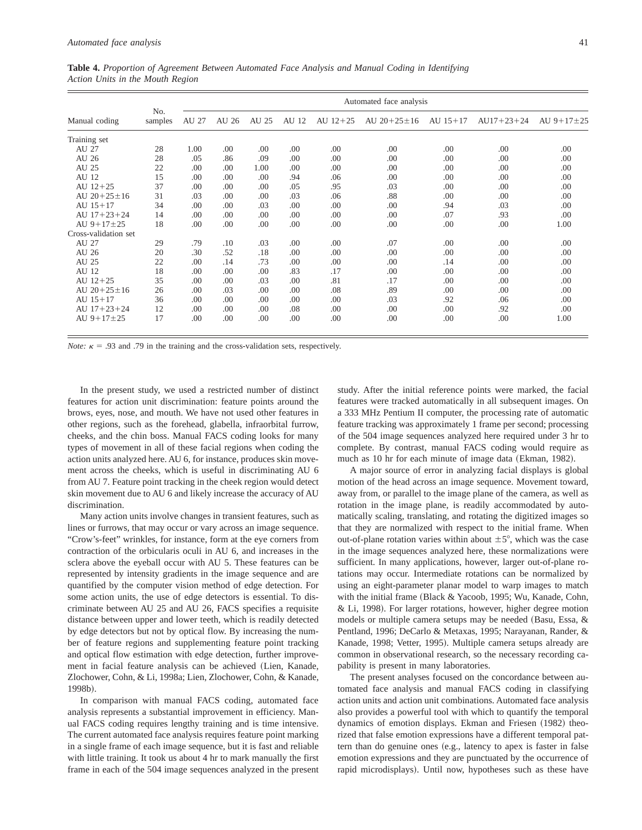|  | Table 4. Proportion of Agreement Between Automated Face Analysis and Manual Coding in Identifying |  |  |  |  |  |
|--|---------------------------------------------------------------------------------------------------|--|--|--|--|--|
|  | Action Units in the Mouth Region                                                                  |  |  |  |  |  |

|                      |                | Automated face analysis |                  |       |       |            |                 |            |              |                |
|----------------------|----------------|-------------------------|------------------|-------|-------|------------|-----------------|------------|--------------|----------------|
| Manual coding        | No.<br>samples | AU 27                   | AU 26            | AU 25 | AU 12 | AU $12+25$ | AU $20+25\pm16$ | AU $15+17$ | $AU17+23+24$ | AU $9+17\pm25$ |
| Training set         |                |                         |                  |       |       |            |                 |            |              |                |
| AU 27                | 28             | 1.00                    | .00              | .00   | .00   | .00        | .00             | .00        | .00          | .00            |
| AU 26                | 28             | .05                     | .86              | .09   | .00   | .00        | .00             | .00        | .00          | .00            |
| AU 25                | 22             | .00                     | .00 <sub>1</sub> | 1.00  | .00   | .00        | .00             | .00        | .00          | .00            |
| AU 12                | 15             | .00                     | .00              | .00   | .94   | .06        | .00             | .00        | .00          | .00            |
| AU $12+25$           | 37             | .00                     | .00              | .00   | .05   | .95        | .03             | .00        | .00          | .00            |
| AU $20+25\pm16$      | 31             | .03                     | .00              | .00   | .03   | .06        | .88             | .00        | .00          | .00            |
| AU $15+17$           | 34             | .00                     | .00              | .03   | .00   | .00        | .00             | .94        | .03          | .00            |
| AU $17+23+24$        | 14             | .00                     | .00              | .00   | .00   | .00        | .00             | .07        | .93          | .00            |
| AU $9+17\pm 25$      | 18             | .00                     | .00              | .00   | .00   | .00        | .00             | .00        | .00          | 1.00           |
| Cross-validation set |                |                         |                  |       |       |            |                 |            |              |                |
| AU 27                | 29             | .79                     | .10              | .03   | .00   | .00        | .07             | .00        | .00          | .00            |
| AU 26                | 20             | .30                     | .52              | .18   | .00   | .00        | .00             | .00        | .00          | .00            |
| AU 25                | 22             | .00                     | .14              | .73   | .00   | .00        | .00             | .14        | .00          | .00            |
| AU 12                | 18             | .00                     | .00              | .00   | .83   | .17        | .00             | .00        | .00          | .00            |
| AU $12+25$           | 35             | .00                     | .00              | .03   | .00   | .81        | .17             | .00        | .00          | .00            |
| AU $20+25\pm16$      | 26             | .00                     | .03              | .00   | .00   | .08        | .89             | .00        | .00          | .00            |
| AU $15+17$           | 36             | .00                     | .00              | .00   | .00   | .00        | .03             | .92        | .06          | .00            |
| AU $17+23+24$        | 12             | .00                     | .00              | .00   | .08   | .00        | .00             | .00        | .92          | .00            |
| AU $9+17\pm25$       | 17             | .00                     | .00              | .00   | .00   | .00        | .00             | .00        | .00          | 1.00           |

*Note:*  $\kappa$  = .93 and .79 in the training and the cross-validation sets, respectively.

In the present study, we used a restricted number of distinct features for action unit discrimination: feature points around the brows, eyes, nose, and mouth. We have not used other features in other regions, such as the forehead, glabella, infraorbital furrow, cheeks, and the chin boss. Manual FACS coding looks for many types of movement in all of these facial regions when coding the action units analyzed here. AU 6, for instance, produces skin movement across the cheeks, which is useful in discriminating AU 6 from AU 7. Feature point tracking in the cheek region would detect skin movement due to AU 6 and likely increase the accuracy of AU discrimination.

Many action units involve changes in transient features, such as lines or furrows, that may occur or vary across an image sequence. "Crow's-feet" wrinkles, for instance, form at the eye corners from contraction of the orbicularis oculi in AU 6, and increases in the sclera above the eyeball occur with AU 5. These features can be represented by intensity gradients in the image sequence and are quantified by the computer vision method of edge detection. For some action units, the use of edge detectors is essential. To discriminate between AU 25 and AU 26, FACS specifies a requisite distance between upper and lower teeth, which is readily detected by edge detectors but not by optical flow. By increasing the number of feature regions and supplementing feature point tracking and optical flow estimation with edge detection, further improvement in facial feature analysis can be achieved (Lien, Kanade, Zlochower, Cohn, & Li, 1998a; Lien, Zlochower, Cohn, & Kanade, 1998b).

In comparison with manual FACS coding, automated face analysis represents a substantial improvement in efficiency. Manual FACS coding requires lengthy training and is time intensive. The current automated face analysis requires feature point marking in a single frame of each image sequence, but it is fast and reliable with little training. It took us about 4 hr to mark manually the first frame in each of the 504 image sequences analyzed in the present

study. After the initial reference points were marked, the facial features were tracked automatically in all subsequent images. On a 333 MHz Pentium II computer, the processing rate of automatic feature tracking was approximately 1 frame per second; processing of the 504 image sequences analyzed here required under 3 hr to complete. By contrast, manual FACS coding would require as much as 10 hr for each minute of image data (Ekman, 1982).

A major source of error in analyzing facial displays is global motion of the head across an image sequence. Movement toward, away from, or parallel to the image plane of the camera, as well as rotation in the image plane, is readily accommodated by automatically scaling, translating, and rotating the digitized images so that they are normalized with respect to the initial frame. When out-of-plane rotation varies within about  $\pm 5^{\circ}$ , which was the case in the image sequences analyzed here, these normalizations were sufficient. In many applications, however, larger out-of-plane rotations may occur. Intermediate rotations can be normalized by using an eight-parameter planar model to warp images to match with the initial frame (Black & Yacoob, 1995; Wu, Kanade, Cohn, & Li, 1998). For larger rotations, however, higher degree motion models or multiple camera setups may be needed (Basu, Essa,  $\&$ Pentland, 1996; DeCarlo & Metaxas, 1995; Narayanan, Rander, & Kanade, 1998; Vetter, 1995). Multiple camera setups already are common in observational research, so the necessary recording capability is present in many laboratories.

The present analyses focused on the concordance between automated face analysis and manual FACS coding in classifying action units and action unit combinations. Automated face analysis also provides a powerful tool with which to quantify the temporal dynamics of emotion displays. Ekman and Friesen (1982) theorized that false emotion expressions have a different temporal pattern than do genuine ones (e.g., latency to apex is faster in false emotion expressions and they are punctuated by the occurrence of rapid microdisplays). Until now, hypotheses such as these have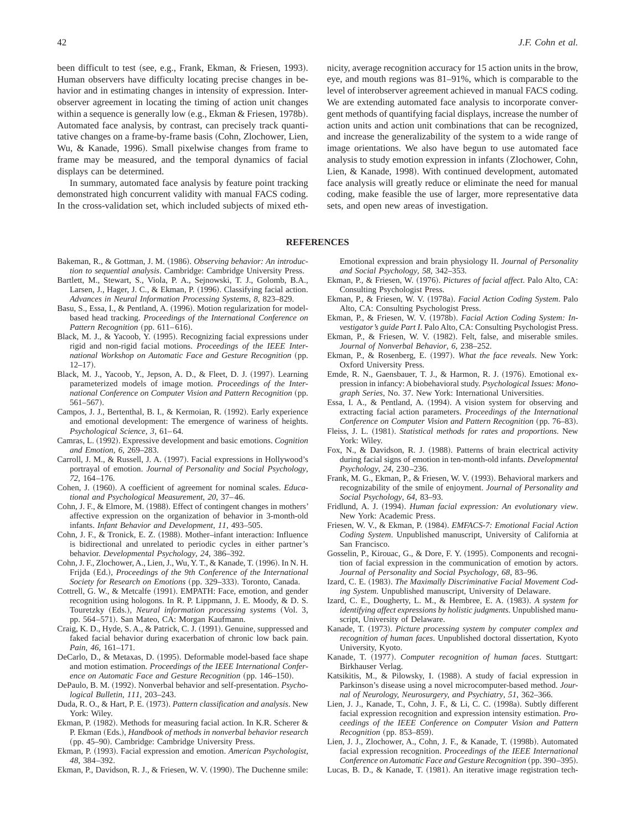been difficult to test (see, e.g., Frank, Ekman, & Friesen, 1993). Human observers have difficulty locating precise changes in behavior and in estimating changes in intensity of expression. Interobserver agreement in locating the timing of action unit changes within a sequence is generally low (e.g., Ekman & Friesen, 1978b). Automated face analysis, by contrast, can precisely track quantitative changes on a frame-by-frame basis (Cohn, Zlochower, Lien, Wu, & Kanade, 1996). Small pixelwise changes from frame to frame may be measured, and the temporal dynamics of facial displays can be determined.

In summary, automated face analysis by feature point tracking demonstrated high concurrent validity with manual FACS coding. In the cross-validation set, which included subjects of mixed ethnicity, average recognition accuracy for 15 action units in the brow, eye, and mouth regions was 81–91%, which is comparable to the level of interobserver agreement achieved in manual FACS coding. We are extending automated face analysis to incorporate convergent methods of quantifying facial displays, increase the number of action units and action unit combinations that can be recognized, and increase the generalizability of the system to a wide range of image orientations. We also have begun to use automated face analysis to study emotion expression in infants (Zlochower, Cohn, Lien, & Kanade, 1998). With continued development, automated face analysis will greatly reduce or eliminate the need for manual coding, make feasible the use of larger, more representative data sets, and open new areas of investigation.

#### **REFERENCES**

- Bakeman, R., & Gottman, J. M. (1986). *Observing behavior: An introduction to sequential analysis*. Cambridge: Cambridge University Press.
- Bartlett, M., Stewart, S., Viola, P. A., Sejnowski, T. J., Golomb, B.A., Larsen, J., Hager, J. C., & Ekman, P. (1996). Classifying facial action. *Advances in Neural Information Processing Systems*, *8*, 823–829.
- Basu, S., Essa, I., & Pentland, A. (1996). Motion regularization for modelbased head tracking. *Proceedings of the International Conference on Pattern Recognition* (pp. 611–616).
- Black, M. J., & Yacoob, Y. (1995). Recognizing facial expressions under rigid and non-rigid facial motions. *Proceedings of the IEEE International Workshop on Automatic Face and Gesture Recognition* (pp.  $12-17$ .
- Black, M. J., Yacoob, Y., Jepson, A. D., & Fleet, D. J. (1997). Learning parameterized models of image motion. *Proceedings of the International Conference on Computer Vision and Pattern Recognition* (pp. 561-567).
- Campos, J. J., Bertenthal, B. I., & Kermoian, R. (1992). Early experience and emotional development: The emergence of wariness of heights. *Psychological Science*, *3*, 61–64.
- Camras, L. ~1992!. Expressive development and basic emotions. *Cognition and Emotion*, *6*, 269–283.
- Carroll, J. M., & Russell, J. A. (1997). Facial expressions in Hollywood's portrayal of emotion. *Journal of Personality and Social Psychology*, *72*, 164–176.
- Cohen, J. (1960). A coefficient of agreement for nominal scales. *Educational and Psychological Measurement*, *20*, 37–46.
- Cohn, J. F., & Elmore, M. (1988). Effect of contingent changes in mothers' affective expression on the organization of behavior in 3-month-old infants. *Infant Behavior and Development*, *11*, 493–505.
- Cohn, J. F., & Tronick, E. Z. (1988). Mother–infant interaction: Influence is bidirectional and unrelated to periodic cycles in either partner's behavior. *Developmental Psychology*, *24*, 386–392.
- Cohn, J. F., Zlochower, A., Lien, J., Wu, Y. T., & Kanade, T. (1996). In N. H. Frijda (Ed.), *Proceedings of the 9th Conference of the International Society for Research on Emotions* (pp. 329–333). Toronto, Canada.
- Cottrell, G. W., & Metcalfe (1991). EMPATH: Face, emotion, and gender recognition using hologons. In R. P. Lippmann, J. E. Moody, & D. S. Touretzky (Eds.), *Neural information processing systems* (Vol. 3, pp. 564–571). San Mateo, CA: Morgan Kaufmann.
- Craig, K. D., Hyde, S. A., & Patrick, C. J. (1991). Genuine, suppressed and faked facial behavior during exacerbation of chronic low back pain. *Pain*, *46*, 161–171.
- DeCarlo, D., & Metaxas, D. (1995). Deformable model-based face shape and motion estimation. *Proceedings of the IEEE International Conference on Automatic Face and Gesture Recognition* (pp. 146–150).
- DePaulo, B. M. (1992). Nonverbal behavior and self-presentation. *Psychological Bulletin*, *111*, 203–243.
- Duda, R. O., & Hart, P. E. ~1973!. *Pattern classification and analysis*. New York: Wiley.
- Ekman, P. (1982). Methods for measuring facial action. In K.R. Scherer & P. Ekman (Eds.), *Handbook of methods in nonverbal behavior research* (pp. 45–90). Cambridge: Cambridge University Press.
- Ekman, P. (1993). Facial expression and emotion. *American Psychologist*, *48*, 384–392.
- Ekman, P., Davidson, R. J., & Friesen, W. V. (1990). The Duchenne smile:

Emotional expression and brain physiology II. *Journal of Personality and Social Psychology*, *58*, 342–353.

- Ekman, P., & Friesen, W. (1976). *Pictures of facial affect*. Palo Alto, CA: Consulting Psychologist Press.
- Ekman, P., & Friesen, W. V. (1978a). *Facial Action Coding System*. Palo Alto, CA: Consulting Psychologist Press.
- Ekman, P., & Friesen, W. V. (1978b). *Facial Action Coding System: Investigator's guide Part I*. Palo Alto, CA: Consulting Psychologist Press.
- Ekman, P., & Friesen, W. V. (1982). Felt, false, and miserable smiles. *Journal of Nonverbal Behavior*, *6*, 238–252.
- Ekman, P., & Rosenberg, E. (1997). *What the face reveals*. New York: Oxford University Press.
- Emde, R. N., Gaensbauer, T. J., & Harmon, R. J. (1976). Emotional expression in infancy: A biobehavioral study. *Psychological Issues: Monograph Series*, No. 37. New York: International Universities.
- Essa, I. A., & Pentland, A. (1994). A vision system for observing and extracting facial action parameters. *Proceedings of the International Conference on Computer Vision and Pattern Recognition* (pp. 76–83).
- Fleiss, J. L. (1981). *Statistical methods for rates and proportions*. New York: Wiley.
- Fox, N., & Davidson, R. J. (1988). Patterns of brain electrical activity during facial signs of emotion in ten-month-old infants. *Developmental Psychology*, *24*, 230–236.
- Frank, M. G., Ekman, P., & Friesen, W. V. (1993). Behavioral markers and recognizability of the smile of enjoyment. *Journal of Personality and Social Psychology*, *64*, 83–93.
- Fridlund, A. J. (1994). *Human facial expression: An evolutionary view*. New York: Academic Press.
- Friesen, W. V., & Ekman, P. ~1984!. *EMFACS-7: Emotional Facial Action Coding System*. Unpublished manuscript, University of California at San Francisco.
- Gosselin, P., Kirouac, G., & Dore, F. Y. (1995). Components and recognition of facial expression in the communication of emotion by actors. *Journal of Personality and Social Psychology*, *68*, 83–96.
- Izard, C. E. (1983). The Maximally Discriminative Facial Movement Cod*ing System*. Unpublished manuscript, University of Delaware.
- Izard, C. E., Dougherty, L. M., & Hembree, E. A. ~1983!. *A system for identifying affect expressions by holistic judgments*. Unpublished manuscript, University of Delaware.
- Kanade, T. (1973). *Picture processing system by computer complex and recognition of human faces*. Unpublished doctoral dissertation, Kyoto University, Kyoto.
- Kanade, T. (1977). *Computer recognition of human faces*. Stuttgart: Birkhauser Verlag.
- Katsikitis, M., & Pilowsky, I. (1988). A study of facial expression in Parkinson's disease using a novel microcomputer-based method. *Journal of Neurology, Neurosurgery, and Psychiatry*, *51*, 362–366.
- Lien, J. J., Kanade, T., Cohn, J. F., & Li, C. C. (1998a). Subtly different facial expression recognition and expression intensity estimation. *Proceedings of the IEEE Conference on Computer Vision and Pattern Recognition* (pp. 853-859).
- Lien, J. J., Zlochower, A., Cohn, J. F., & Kanade, T. (1998b). Automated facial expression recognition. *Proceedings of the IEEE International Conference on Automatic Face and Gesture Recognition* (pp. 390–395).
- Lucas, B. D., & Kanade, T. (1981). An iterative image registration tech-